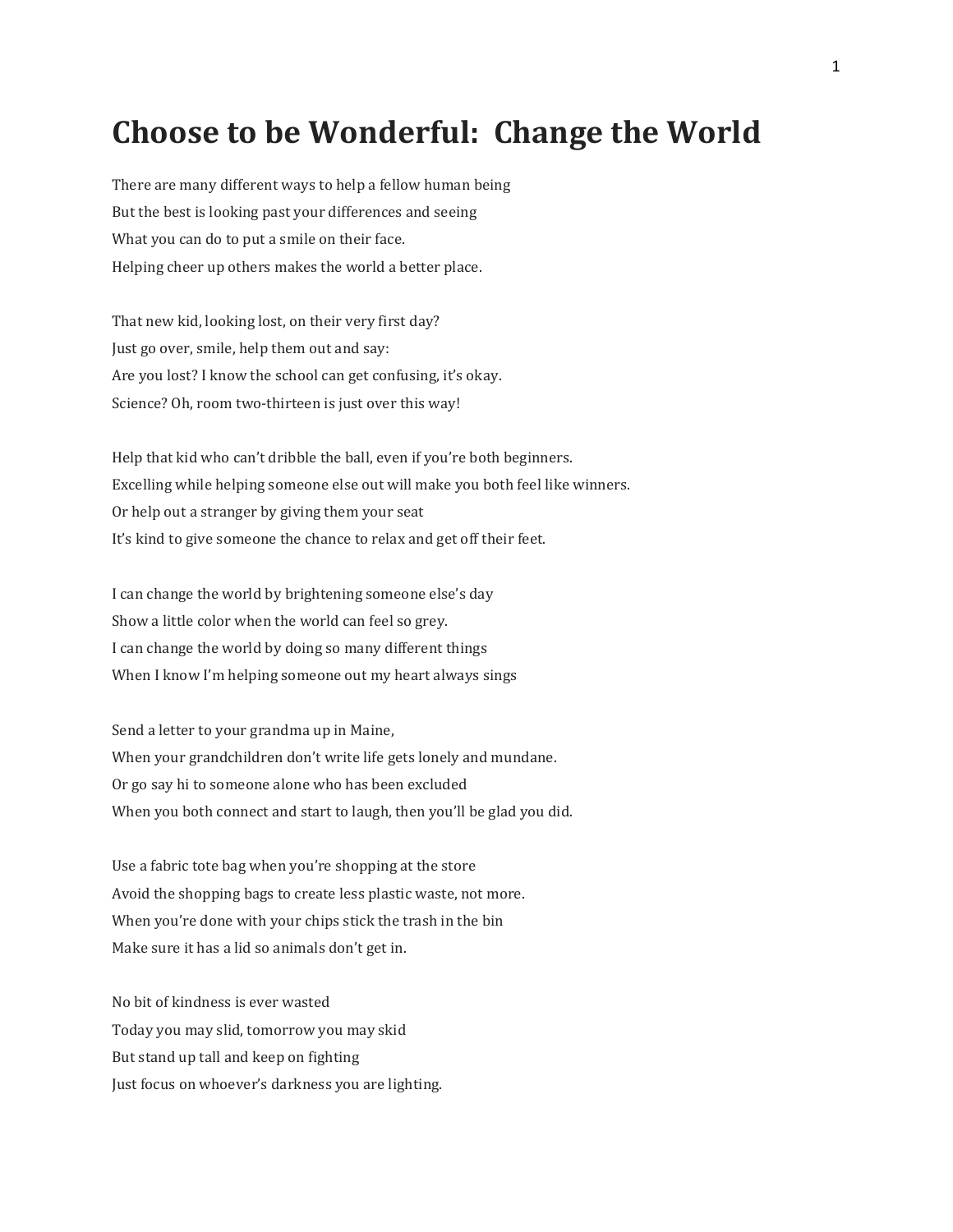## **Choose to be Wonderful: Change the World**

There are many different ways to help a fellow human being But the best is looking past your differences and seeing What you can do to put a smile on their face. Helping cheer up others makes the world a better place.

That new kid, looking lost, on their very first day? Just go over, smile, help them out and say: Are you lost? I know the school can get confusing, it's okay. Science? Oh, room two-thirteen is just over this way!

Help that kid who can't dribble the ball, even if you're both beginners. Excelling while helping someone else out will make you both feel like winners. Or help out a stranger by giving them your seat It's kind to give someone the chance to relax and get off their feet.

I can change the world by brightening someone else's day Show a little color when the world can feel so grey. I can change the world by doing so many different things When I know I'm helping someone out my heart always sings

Send a letter to your grandma up in Maine, When your grandchildren don't write life gets lonely and mundane. Or go say hi to someone alone who has been excluded When you both connect and start to laugh, then you'll be glad you did.

Use a fabric tote bag when you're shopping at the store Avoid the shopping bags to create less plastic waste, not more. When you're done with your chips stick the trash in the bin Make sure it has a lid so animals don't get in.

No bit of kindness is ever wasted Today you may slid, tomorrow you may skid But stand up tall and keep on fighting Just focus on whoever's darkness you are lighting.